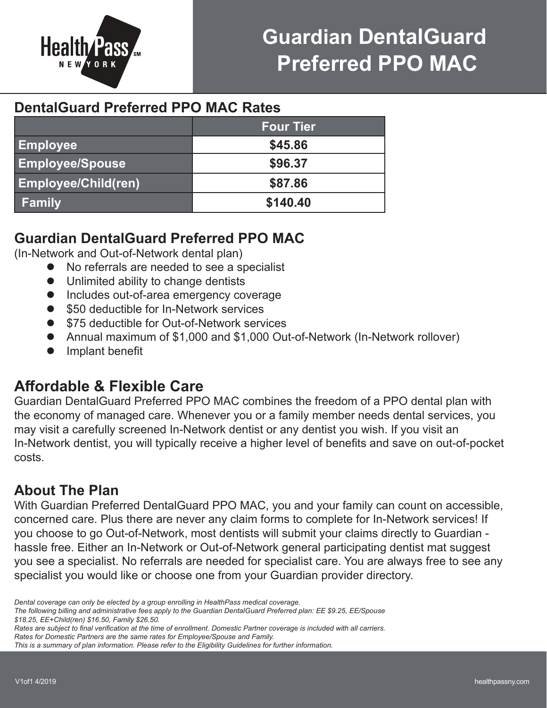

# **Guardian DentalGuard Preferred PPO MAC**

# **DentalGuard Preferred PPO MAC Rates**

|                            | <b>Four Tier</b> |
|----------------------------|------------------|
| Employee                   | \$45.86          |
| <b>Employee/Spouse</b>     | \$96.37          |
| <b>Employee/Child(ren)</b> | \$87.86          |
| <b>Family</b>              | \$140.40         |

# **Guardian DentalGuard Preferred PPO MAC**

(In-Network and Out-of-Network dental plan)

- l No referrals are needed to see a specialist
- **•** Unlimited ability to change dentists
- **•** Includes out-of-area emergency coverage
- \$50 deductible for In-Network services
- \$75 deductible for Out-of-Network services
- Annual maximum of \$1,000 and \$1,000 Out-of-Network (In-Network rollover)
- Implant benefit

# **Affordable & Flexible Care**

Guardian DentalGuard Preferred PPO MAC combines the freedom of a PPO dental plan with the economy of managed care. Whenever you or a family member needs dental services, you may visit a carefully screened In-Network dentist or any dentist you wish. If you visit an In-Network dentist, you will typically receive a higher level of benefits and save on out-of-pocket costs.

# **About The Plan**

With Guardian Preferred DentalGuard PPO MAC, you and your family can count on accessible, concerned care. Plus there are never any claim forms to complete for In-Network services! If you choose to go Out-of-Network, most dentists will submit your claims directly to Guardian hassle free. Either an In-Network or Out-of-Network general participating dentist mat suggest you see a specialist. No referrals are needed for specialist care. You are always free to see any specialist you would like or choose one from your Guardian provider directory.

*Dental coverage can only be elected by a group enrolling in HealthPass medical coverage.*

*The following billing and administrative fees apply to the Guardian DentalGuard Preferred plan: EE \$9.25, EE/Spouse \$18.25, EE+Child(ren) \$16.50, Family \$26.50.*

*Rates are subject to final verification at the time of enrollment. Domestic Partner coverage is included with all carriers. Rates for Domestic Partners are the same rates for Employee/Spouse and Family.*

*This is a summary of plan information. Please refer to the Eligibility Guidelines for further information.*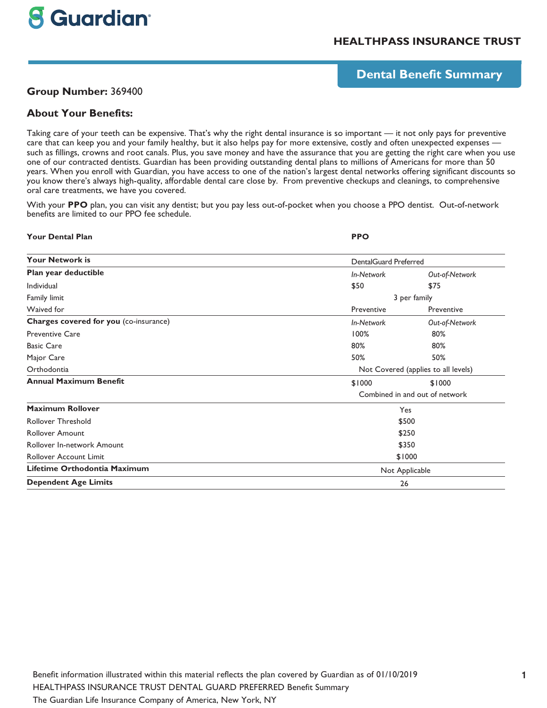# **8 Guardian**

# **HEALTHPASS INSURANCE TRUST**

# **Dental Benefit Summary**

## **Group Number:** 369400

## **About Your Benefits:**

Taking care of your teeth can be expensive. That's why the right dental insurance is so important — it not only pays for preventive care that can keep you and your family healthy, but it also helps pay for more extensive, costly and often unexpected expenses such as fillings, crowns and root canals. Plus, you save money and have the assurance that you are getting the right care when you use one of our contracted dentists. Guardian has been providing outstanding dental plans to millions of Americans for more than 50 years. When you enroll with Guardian, you have access to one of the nation's largest dental networks offering significant discounts so you know there's always high-quality, affordable dental care close by. From preventive checkups and cleanings, to comprehensive oral care treatments, we have you covered.

With your **PPO** plan, you can visit any dentist; but you pay less out-of-pocket when you choose a PPO dentist. Out-of-network benefits are limited to our PPO fee schedule.

#### **Your Dental Plan PPO**

| <b>Your Network is</b>                 | <b>DentalGuard Preferred</b>   |                                     |  |
|----------------------------------------|--------------------------------|-------------------------------------|--|
| Plan year deductible                   | In-Network                     | Out-of-Network                      |  |
| Individual                             | \$50                           | \$75                                |  |
| Family limit                           |                                | 3 per family                        |  |
| Waived for                             | Preventive                     | Preventive                          |  |
| Charges covered for you (co-insurance) | In-Network                     | Out-of-Network                      |  |
| <b>Preventive Care</b>                 | 100%                           | 80%                                 |  |
| <b>Basic Care</b>                      | 80%                            | 80%                                 |  |
| Major Care                             | 50%                            | 50%                                 |  |
| Orthodontia                            |                                | Not Covered (applies to all levels) |  |
| <b>Annual Maximum Benefit</b>          | \$1000                         | \$1000                              |  |
|                                        | Combined in and out of network |                                     |  |
| <b>Maximum Rollover</b>                | Yes                            |                                     |  |
| <b>Rollover Threshold</b>              |                                | \$500                               |  |
| <b>Rollover Amount</b>                 |                                | \$250                               |  |
| Rollover In-network Amount             |                                | \$350                               |  |
| <b>Rollover Account Limit</b>          | \$1000                         |                                     |  |
| Lifetime Orthodontia Maximum           |                                | Not Applicable                      |  |
| <b>Dependent Age Limits</b>            | 26                             |                                     |  |
|                                        |                                |                                     |  |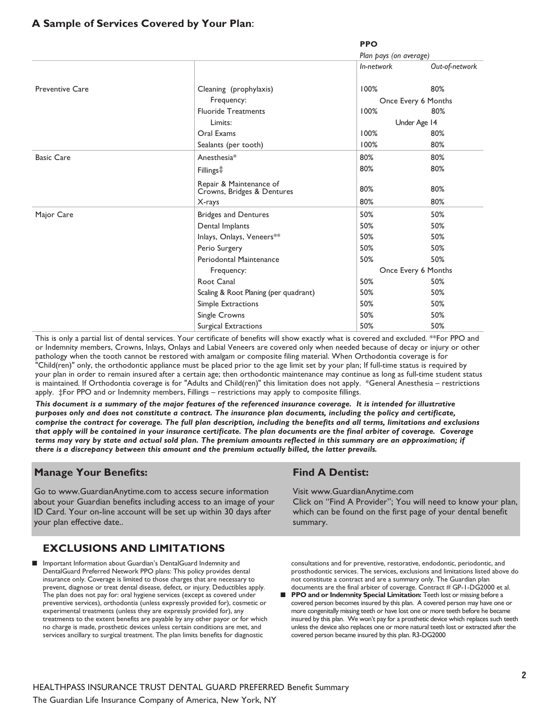# **A Sample of Services Covered by Your Plan:**

**PPO**

|                        |                                                       | Plan pays (on average) |                     |
|------------------------|-------------------------------------------------------|------------------------|---------------------|
|                        |                                                       | In-network             | Out-of-network      |
| <b>Preventive Care</b> | Cleaning (prophylaxis)                                | 100%                   | 80%                 |
|                        | Frequency:                                            |                        | Once Every 6 Months |
|                        | <b>Fluoride Treatments</b>                            | 100%                   | 80%                 |
|                        | Limits:                                               |                        | Under Age 14        |
|                        | Oral Exams                                            | 100%                   | 80%                 |
|                        | Sealants (per tooth)                                  | 100%                   | 80%                 |
| <b>Basic Care</b>      | Anesthesia*                                           | 80%                    | 80%                 |
|                        | Fillings <sup>#</sup>                                 | 80%                    | 80%                 |
|                        | Repair & Maintenance of<br>Crowns, Bridges & Dentures | 80%                    | 80%                 |
|                        | X-rays                                                | 80%                    | 80%                 |
| Major Care             | <b>Bridges and Dentures</b>                           | 50%                    | 50%                 |
|                        | Dental Implants                                       | 50%                    | 50%                 |
|                        | Inlays, Onlays, Veneers**                             | 50%                    | 50%                 |
|                        | Perio Surgery                                         | 50%                    | 50%                 |
|                        | Periodontal Maintenance                               | 50%                    | 50%                 |
|                        | Frequency:                                            |                        | Once Every 6 Months |
|                        | Root Canal                                            | 50%                    | 50%                 |
|                        | Scaling & Root Planing (per quadrant)                 | 50%                    | 50%                 |
|                        | Simple Extractions                                    | 50%                    | 50%                 |
|                        | Single Crowns                                         | 50%                    | 50%                 |
|                        | Surgical Extractions                                  | 50%                    | 50%                 |

This is only a partial list of dental services. Your certificate of benefits will show exactly what is covered and excluded. \*\*For PPO and or Indemnity members, Crowns, Inlays, Onlays and Labial Veneers are covered only when needed because of decay or injury or other pathology when the tooth cannot be restored with amalgam or composite filing material. When Orthodontia coverage is for "Child(ren)" only, the orthodontic appliance must be placed prior to the age limit set by your plan; If full-time status is required by your plan in order to remain insured after a certain age; then orthodontic maintenance may continue as long as full-time student status is maintained. If Orthodontia coverage is for "Adults and Child(ren)" this limitation does not apply. \*General Anesthesia – restrictions apply. ‡For PPO and or Indemnity members, Fillings – restrictions may apply to composite fillings.

**This document is a summary of the major features of the referenced insurance coverage. It is intended for illustrative purposes only and does not constitute a contract. The insurance plan documents, including the policy and certificate, comprise the contract for coverage. The full plan description, including the benefits and all terms, limitations and exclusions that apply will be contained in your insurance certificate. The plan documents are the final arbiter of coverage. Coverage terms may vary by state and actual sold plan. The premium amounts reflected in this summary are an approximation; if there is a discrepancy between this amount and the premium actually billed, the latter prevails.**

## **Manage Your Benefits:**

Go to www.GuardianAnytime.com to access secure information about your Guardian benefits including access to an image of your ID Card. Your on-line account will be set up within 30 days after your plan effective date..

# **EXCLUSIONS AND LIMITATIONS**

■ Important Information about Guardian's DentalGuard Indemnity and DentalGuard Preferred Network PPO plans: This policy provides dental insurance only. Coverage is limited to those charges that are necessary to prevent, diagnose or treat dental disease, defect, or injury. Deductibles apply. The plan does not pay for: oral hygiene services (except as covered under preventive services), orthodontia (unless expressly provided for), cosmetic or experimental treatments (unless they are expressly provided for), any treatments to the extent benefits are payable by any other payor or for which no charge is made, prosthetic devices unless certain conditions are met, and services ancillary to surgical treatment. The plan limits benefits for diagnostic

## **Find A Dentist:**

Visit www.GuardianAnytime.com

Click on "Find A Provider"; You will need to know your plan, which can be found on the first page of your dental benefit summary.

consultations and for preventive, restorative, endodontic, periodontic, and prosthodontic services. The services, exclusions and limitations listed above do not constitute a contract and are a summary only. The Guardian plan documents are the final arbiter of coverage. Contract # GP-1-DG2000 et al.

**PPO and or Indemnity Special Limitation:** Teeth lost or missing before a covered person becomes insured by this plan. A covered person may have one or more congenitally missing teeth or have lost one or more teeth before he became insured by this plan. We won't pay for a prosthetic device which replaces such teeth unless the device also replaces one or more natural teeth lost or extracted after the covered person became insured by this plan. R3-DG2000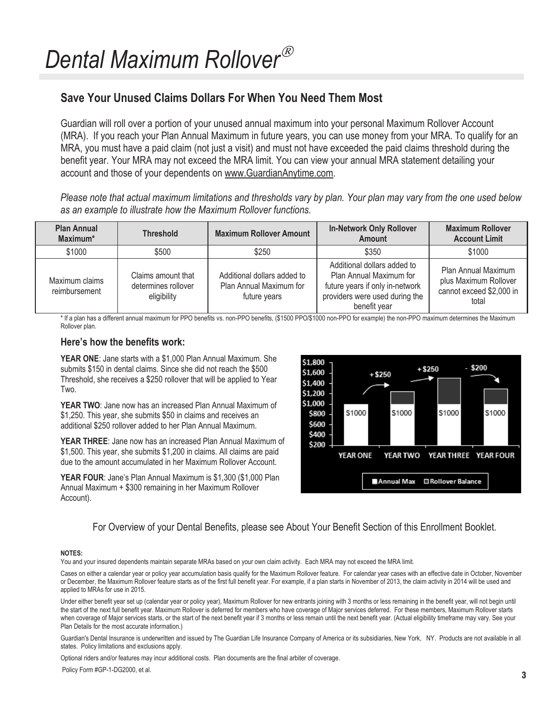# **Save Your Unused Claims Dollars For When You Need Them Most**

Guardian will roll over a portion of your unused annual maximum into your personal Maximum Rollover Account (MRA). If you reach your Plan Annual Maximum in future years, you can use money from your MRA. To qualify for an MRA, you must have a paid claim (not just a visit) and must not have exceeded the paid claims threshold during the benefit year. Your MRA may not exceed the MRA limit. You can view your annual MRA statement detailing your account and those of your dependents on www.GuardianAnytime.com.

*Please note that actual maximum limitations and thresholds vary by plan. Your plan may vary from the one used below as an example to illustrate how the Maximum Rollover functions.* 

| <b>Plan Annual</b><br>Maximum*  | <b>Threshold</b>                                         | <b>Maximum Rollover Amount</b>                                         | <b>In-Network Only Rollover</b><br><b>Amount</b>                                                                                            | <b>Maximum Rollover</b><br><b>Account Limit</b>                                   |
|---------------------------------|----------------------------------------------------------|------------------------------------------------------------------------|---------------------------------------------------------------------------------------------------------------------------------------------|-----------------------------------------------------------------------------------|
| \$1000                          | \$500                                                    | \$250                                                                  | \$350                                                                                                                                       | \$1000                                                                            |
| Maximum claims<br>reimbursement | Claims amount that<br>determines rollover<br>eligibility | Additional dollars added to<br>Plan Annual Maximum for<br>future years | Additional dollars added to<br>Plan Annual Maximum for<br>future years if only in-network<br>providers were used during the<br>benefit year | Plan Annual Maximum<br>plus Maximum Rollover<br>cannot exceed \$2,000 in<br>total |

\* If a plan has a different annual maximum for PPO benefits vs. non-PPO benefits, (\$1500 PPO/\$1000 non-PPO for example) the non-PPO maximum determines the Maximum Rollover plan.

## **Hereís how the benefits work:**

**YEAR ONE**: Jane starts with a \$1,000 Plan Annual Maximum. She submits \$150 in dental claims. Since she did not reach the \$500 Threshold, she receives a \$250 rollover that will be applied to Year Two.

**YEAR TWO**: Jane now has an increased Plan Annual Maximum of \$1,250. This year, she submits \$50 in claims and receives an additional \$250 rollover added to her Plan Annual Maximum.

**YEAR THREE**: Jane now has an increased Plan Annual Maximum of \$1,500. This year, she submits \$1,200 in claims. All claims are paid due to the amount accumulated in her Maximum Rollover Account.

YEAR FOUR: Jane's Plan Annual Maximum is \$1,300 (\$1,000 Plan Annual Maximum + \$300 remaining in her Maximum Rollover Account).



For Overview of your Dental Benefits, please see About Your Benefit Section of this Enrollment Booklet.

#### **NOTES:**

You and your insured dependents maintain separate MRAs based on your own claim activity. Each MRA may not exceed the MRA limit.

Cases on either a calendar year or policy year accumulation basis qualify for the Maximum Rollover feature. For calendar year cases with an effective date in October, November or December, the Maximum Rollover feature starts as of the first full benefit year. For example, if a plan starts in November of 2013, the claim activity in 2014 will be used and applied to MRAs for use in 2015.

Under either benefit year set up (calendar year or policy year), Maximum Rollover for new entrants joining with 3 months or less remaining in the benefit year, will not begin until the start of the next full benefit year. Maximum Rollover is deferred for members who have coverage of Major services deferred. For these members, Maximum Rollover starts when coverage of Major services starts, or the start of the next benefit year if 3 months or less remain until the next benefit year. (Actual eligibility timeframe may vary. See your Plan Details for the most accurate information.)

Guardian's Dental Insurance is underwritten and issued by The Guardian Life Insurance Company of America or its subsidiaries, New York, NY. Products are not available in all states. Policy limitations and exclusions apply.

Optional riders and/or features may incur additional costs. Plan documents are the final arbiter of coverage.

Policy Form #GP-1-DG2000, et al. **3**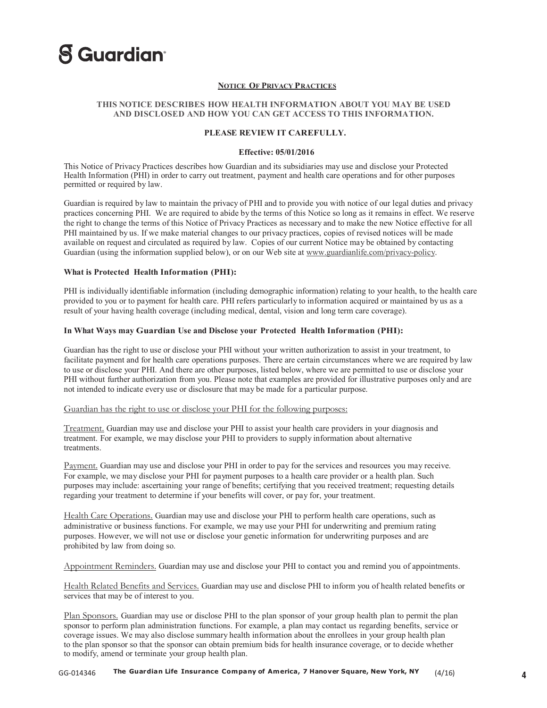

#### **NOTICE OF PRIVACY P R A CTICES**

#### **THIS NOTICE DESCRIBES HOW HEALTH INFORMATION ABOUT YOU MAY BE USED AND DISCLOSED AND HOW YOU CAN GET ACCESS TO THIS INFORMATION.**

#### **PLEASE REVIEW IT CAREFULLY.**

#### **Effective: 05/01/2016**

This Notice of Privacy Practices describes how Guardian and its subsidiaries may use and disclose your Protected Health Information (PHI) in order to carry out treatment, payment and health care operations and for other purposes permitted or required by law.

Guardian is required by law to maintain the privacy of PHI and to provide you with notice of our legal duties and privacy practices concerning PHI. We are required to abide by the terms of this Notice so long as it remains in effect. We reserve the right to change the terms of this Notice of Privacy Practices as necessary and to make the new Notice effective for all PHI maintained by us. If we make material changes to our privacy practices, copies of revised notices will be made available on request and circulated as required by law. Copies of our current Notice may be obtained by contacting Guardian (using the information supplied below), or on our Web site at www.guardianlife.com/privacy-policy.

#### **What is Protected Health Information (PHI):**

PHI is individually identifiable information (including demographic information) relating to your health, to the health care provided to you or to payment for health care. PHI refers particularly to information acquired or maintained by us as a result of your having health coverage (including medical, dental, vision and long term care coverage).

#### **In What Ways may Guardian Use and Disclose your Protected Health Information (PHI):**

Guardian has the right to use or disclose your PHI without your written authorization to assist in your treatment, to facilitate payment and for health care operations purposes. There are certain circumstances where we are required by law to use or disclose your PHI. And there are other purposes, listed below, where we are permitted to use or disclose your PHI without further authorization from you. Please note that examples are provided for illustrative purposes only and are not intended to indicate every use or disclosure that may be made for a particular purpose.

#### Guardian has the right to use or disclose your PHI for the following purposes:

Treatment. Guardian may use and disclose your PHI to assist your health care providers in your diagnosis and treatment. For example, we may disclose your PHI to providers to supply information about alternative **treatments** 

Payment. Guardian may use and disclose your PHI in order to pay for the services and resources you may receive. For example, we may disclose your PHI for payment purposes to a health care provider or a health plan. Such purposes may include: ascertaining your range of benefits; certifying that you received treatment; requesting details regarding your treatment to determine if your benefits will cover, or pay for, your treatment.

Health Care Operations. Guardian may use and disclose your PHI to perform health care operations, such as administrative or business functions. For example, we may use your PHI for underwriting and premium rating purposes. However, we will not use or disclose your genetic information for underwriting purposes and are prohibited by law from doing so.

Appointment Reminders. Guardian may use and disclose your PHI to contact you and remind you of appointments.

Health Related Benefits and Services. Guardian may use and disclose PHI to inform you of health related benefits or services that may be of interest to you.

Plan Sponsors. Guardian may use or disclose PHI to the plan sponsor of your group health plan to permit the plan sponsor to perform plan administration functions. For example, a plan may contact us regarding benefits, service or coverage issues. We may also disclose summary health information about the enrollees in your group health plan to the plan sponsor so that the sponsor can obtain premium bids for health insurance coverage, or to decide whether to modify, amend or terminate your group health plan.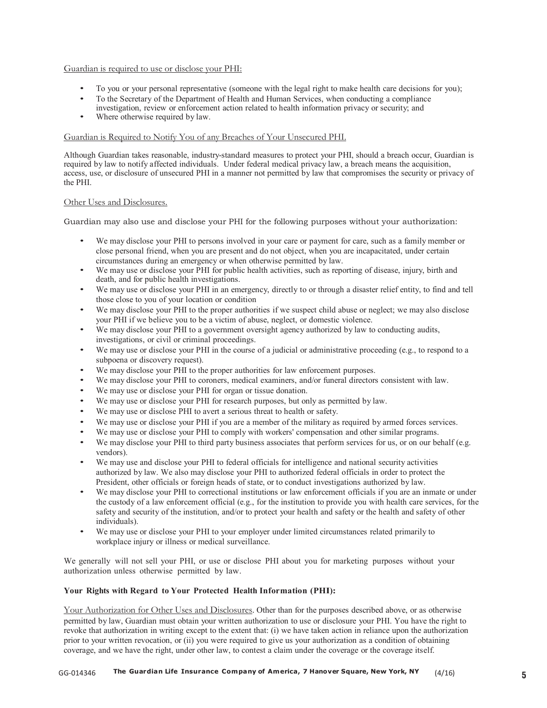#### Guardian is required to use or disclose your PHI:

- ï To you or your personal representative (someone with the legal right to make health care decisions for you);
- To the Secretary of the Department of Health and Human Services, when conducting a compliance investigation, review or enforcement action related to health information privacy or security; and
- Where otherwise required by law.

#### Guardian is Required to Notify You of any Breaches of Your Unsecured PHI.

Although Guardian takes reasonable, industry-standard measures to protect your PHI, should a breach occur, Guardian is required by law to notify affected individuals. Under federal medical privacy law, a breach means the acquisition, access, use, or disclosure of unsecured PHI in a manner not permitted by law that compromises the security or privacy of the PHI.

#### Other Uses and Disclosures.

Guardian may also use and disclose your PHI for the following purposes without your authorization:

- We may disclose your PHI to persons involved in your care or payment for care, such as a family member or close personal friend, when you are present and do not object, when you are incapacitated, under certain circumstances during an emergency or when otherwise permitted by law.
- ï We may use or disclose your PHI for public health activities, such as reporting of disease, injury, birth and death, and for public health investigations.
- We may use or disclose your PHI in an emergency, directly to or through a disaster relief entity, to find and tell those close to you of your location or condition
- We may disclose your PHI to the proper authorities if we suspect child abuse or neglect; we may also disclose your PHI if we believe you to be a victim of abuse, neglect, or domestic violence.
- ï We may disclose your PHI to a government oversight agency authorized by law to conducting audits, investigations, or civil or criminal proceedings.
- We may use or disclose your PHI in the course of a judicial or administrative proceeding (e.g., to respond to a subpoena or discovery request).
- We may disclose your PHI to the proper authorities for law enforcement purposes.
- We may disclose your PHI to coroners, medical examiners, and/or funeral directors consistent with law.
- We may use or disclose your PHI for organ or tissue donation.
- We may use or disclose your PHI for research purposes, but only as permitted by law.
- We may use or disclose PHI to avert a serious threat to health or safety.
- We may use or disclose your PHI if you are a member of the military as required by armed forces services.
- We may use or disclose your PHI to comply with workers' compensation and other similar programs.
- We may disclose your PHI to third party business associates that perform services for us, or on our behalf (e.g. vendors).
- We may use and disclose your PHI to federal officials for intelligence and national security activities authorized by law. We also may disclose your PHI to authorized federal officials in order to protect the President, other officials or foreign heads of state, or to conduct investigations authorized by law.
- We may disclose your PHI to correctional institutions or law enforcement officials if you are an inmate or under the custody of a law enforcement official (e.g., for the institution to provide you with health care services, for the safety and security of the institution, and/or to protect your health and safety or the health and safety of other individuals).
- We may use or disclose your PHI to your employer under limited circumstances related primarily to workplace injury or illness or medical surveillance.

We generally will not sell your PHI, or use or disclose PHI about you for marketing purposes without your authorization unless otherwise permitted by law.

#### **Your Rights with Regard to Your Protected Health Information (PHI):**

Your Authorization for Other Uses and Disclosures. Other than for the purposes described above, or as otherwise permitted by law, Guardian must obtain your written authorization to use or disclosure your PHI. You have the right to revoke that authorization in writing except to the extent that: (i) we have taken action in reliance upon the authorization prior to your written revocation, or (ii) you were required to give us your authorization as a condition of obtaining coverage, and we have the right, under other law, to contest a claim under the coverage or the coverage itself.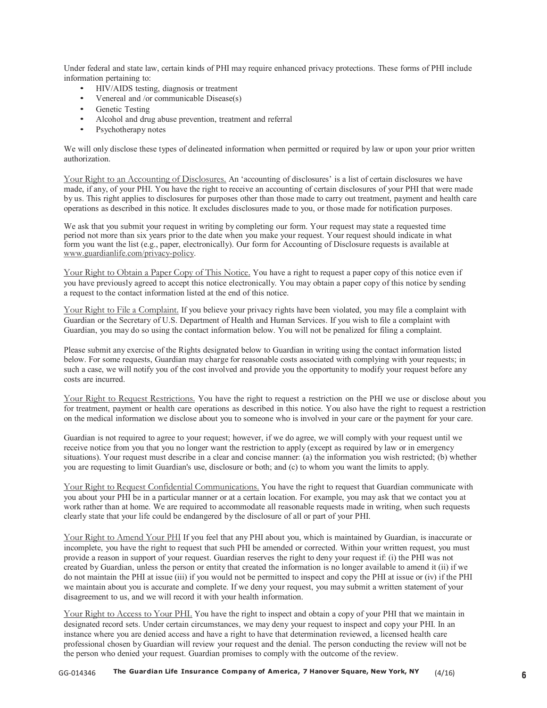Under federal and state law, certain kinds of PHI may require enhanced privacy protections. These forms of PHI include information pertaining to:

- HIV/AIDS testing, diagnosis or treatment
- Venereal and /or communicable Disease(s)
- Genetic Testing
- Alcohol and drug abuse prevention, treatment and referral
- Psychotherapy notes

We will only disclose these types of delineated information when permitted or required by law or upon your prior written authorization.

Your Right to an Accounting of Disclosures. An 'accounting of disclosures' is a list of certain disclosures we have made, if any, of your PHI. You have the right to receive an accounting of certain disclosures of your PHI that were made by us. This right applies to disclosures for purposes other than those made to carry out treatment, payment and health care operations as described in this notice. It excludes disclosures made to you, or those made for notification purposes.

We ask that you submit your request in writing by completing our form. Your request may state a requested time period not more than six years prior to the date when you make your request. Your request should indicate in what form you want the list (e.g., paper, electronically). Our form for Accounting of Disclosure requests is available at www.guardianlife.com/privacy-policy.

Your Right to Obtain a Paper Copy of This Notice. You have a right to request a paper copy of this notice even if you have previously agreed to accept this notice electronically. You may obtain a paper copy of this notice by sending a request to the contact information listed at the end of this notice.

Your Right to File a Complaint. If you believe your privacy rights have been violated, you may file a complaint with Guardian or the Secretary of U.S. Department of Health and Human Services. If you wish to file a complaint with Guardian, you may do so using the contact information below. You will not be penalized for filing a complaint.

Please submit any exercise of the Rights designated below to Guardian in writing using the contact information listed below. For some requests, Guardian may charge for reasonable costs associated with complying with your requests; in such a case, we will notify you of the cost involved and provide you the opportunity to modify your request before any costs are incurred.

Your Right to Request Restrictions. You have the right to request a restriction on the PHI we use or disclose about you for treatment, payment or health care operations as described in this notice. You also have the right to request a restriction on the medical information we disclose about you to someone who is involved in your care or the payment for your care.

Guardian is not required to agree to your request; however, if we do agree, we will comply with your request until we receive notice from you that you no longer want the restriction to apply (except as required by law or in emergency situations). Your request must describe in a clear and concise manner: (a) the information you wish restricted; (b) whether you are requesting to limit Guardian's use, disclosure or both; and (c) to whom you want the limits to apply.

Your Right to Request Confidential Communications. You have the right to request that Guardian communicate with you about your PHI be in a particular manner or at a certain location. For example, you may ask that we contact you at work rather than at home. We are required to accommodate all reasonable requests made in writing, when such requests clearly state that your life could be endangered by the disclosure of all or part of your PHI.

Your Right to Amend Your PHI If you feel that any PHI about you, which is maintained by Guardian, is inaccurate or incomplete, you have the right to request that such PHI be amended or corrected. Within your written request, you must provide a reason in support of your request. Guardian reserves the right to deny your request if: (i) the PHI was not created by Guardian, unless the person or entity that created the information is no longer available to amend it (ii) if we do not maintain the PHI at issue (iii) if you would not be permitted to inspect and copy the PHI at issue or (iv) if the PHI we maintain about you is accurate and complete. If we deny your request, you may submit a written statement of your disagreement to us, and we will record it with your health information.

Your Right to Access to Your PHI. You have the right to inspect and obtain a copy of your PHI that we maintain in designated record sets. Under certain circumstances, we may deny your request to inspect and copy your PHI. In an instance where you are denied access and have a right to have that determination reviewed, a licensed health care professional chosen by Guardian will review your request and the denial. The person conducting the review will not be the person who denied your request. Guardian promises to comply with the outcome of the review.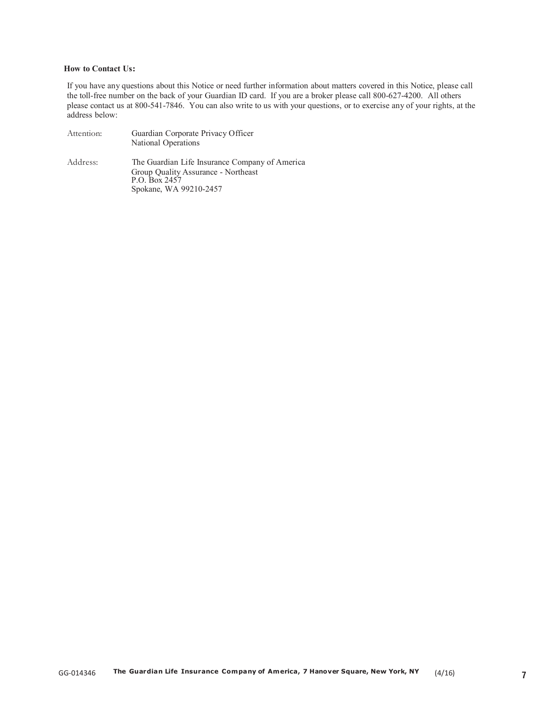#### **How to Contact Us:**

If you have any questions about this Notice or need further information about matters covered in this Notice, please call the toll-free number on the back of your Guardian ID card. If you are a broker please call 800-627-4200. All others please contact us at 800-541-7846. You can also write to us with your questions, or to exercise any of your rights, at the address below:

| Attention: | Guardian Corporate Privacy Officer<br>National Operations                                                                        |
|------------|----------------------------------------------------------------------------------------------------------------------------------|
| Address:   | The Guardian Life Insurance Company of America<br>Group Quality Assurance - Northeast<br>P.O. Box 2457<br>Spokane, WA 99210-2457 |